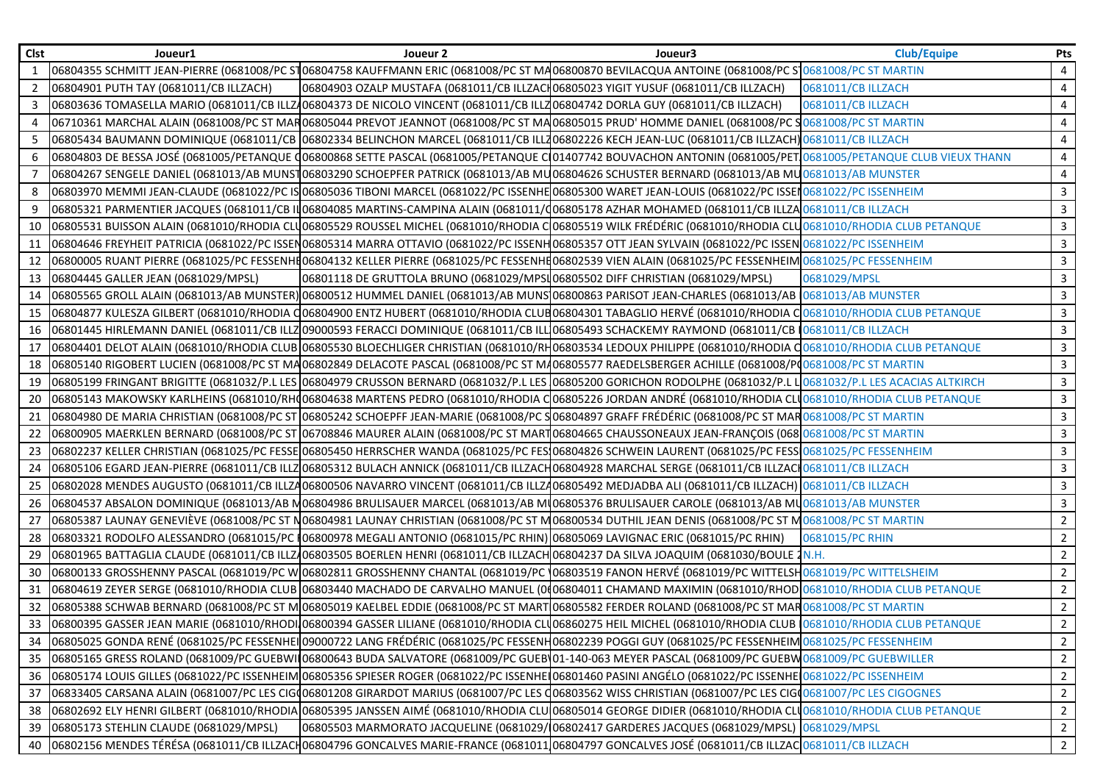| <b>Clst</b> | Joueur1                                | Joueur 2                                                                                                                     | Joueur3                                                                                                                                                                                                           | <b>Club/Equipe</b> | Pts            |
|-------------|----------------------------------------|------------------------------------------------------------------------------------------------------------------------------|-------------------------------------------------------------------------------------------------------------------------------------------------------------------------------------------------------------------|--------------------|----------------|
|             |                                        |                                                                                                                              | 06804355 SCHMITT JEAN-PIERRE (0681008/PC ST06804758 KAUFFMANN ERIC (0681008/PC ST MA06800870 BEVILACQUA ANTOINE (0681008/PC ST0681008/PC ST MARTIN                                                                |                    | $\overline{4}$ |
| 2           | 06804901 PUTH TAY (0681011/CB ILLZACH) | 06804903 OZALP MUSTAFA (0681011/CB ILLZACH06805023 YIGIT YUSUF (0681011/CB ILLZACH)                                          |                                                                                                                                                                                                                   | 0681011/CB ILLZACH | 4              |
| 3           |                                        | 06803636 TOMASELLA MARIO (0681011/CB ILLZ406804373 DE NICOLO VINCENT (0681011/CB ILLZ06804742 DORLA GUY (0681011/CB ILLZACH) |                                                                                                                                                                                                                   | 0681011/CB ILLZACH | 4              |
|             |                                        |                                                                                                                              | 06710361 MARCHAL ALAIN (0681008/PC ST MAR06805044 PREVOT JEANNOT (0681008/PC ST MA06805015 PRUD' HOMME DANIEL (0681008/PC S <mark>0681008/PC ST MARTIN</mark>                                                     |                    | 4              |
|             |                                        |                                                                                                                              | 06805434 BAUMANN DOMINIQUE (0681011/CB 06802334 BELINCHON MARCEL (0681011/CB ILL206802226 KECH JEAN-LUC (0681011/CB ILLZACH) 0681011/CB ILLZACH                                                                   |                    | 4              |
| 6           |                                        |                                                                                                                              | 06804803 DE BESSA JOSÉ (0681005/PETANQUE Q06800868 SETTE PASCAL (0681005/PETANQUE C 01407742 BOUVACHON ANTONIN (0681005/PET 0681005/PETANQUE CLUB VIEUX THANN                                                     |                    | 4              |
|             |                                        |                                                                                                                              | 06804267 SENGELE DANIEL (0681013/AB MUNST06803290 SCHOEPFER PATRICK (0681013/AB MU06804626 SCHUSTER BERNARD (0681013/AB MU0681013/AB MUNSTER                                                                      |                    | 4              |
|             |                                        |                                                                                                                              | 06803970 MEMMI JEAN-CLAUDE (0681022/PC IS 06805036 TIBONI MARCEL (0681022/PC ISSENHE 06805300 WARET JEAN-LOUIS (0681022/PC ISSEN 0681022/PC ISSENHEIM                                                             |                    | $\mathbf{3}$   |
|             |                                        |                                                                                                                              | 06805321 PARMENTIER JACQUES (0681011/CB IN06804085 MARTINS-CAMPINA ALAIN (0681011/(06805178 AZHAR MOHAMED (0681011/CB ILLZA0681011/CB ILLZACH                                                                     |                    | $\mathbf{3}$   |
| 10          |                                        |                                                                                                                              | 06805531 BUISSON ALAIN (0681010/RHODIA CLU06805529 ROUSSEL MICHEL (0681010/RHODIA C06805519 WILK FRÉDÉRIC (0681010/RHODIA CLU0681010/RHODIA CLUB PETANQUE                                                         |                    | $\mathbf{3}$   |
| 11          |                                        |                                                                                                                              | 06804646 FREYHEIT PATRICIA (0681022/PC ISSEN06805314 MARRA OTTAVIO (0681022/PC ISSENH06805357 OTT JEAN SYLVAIN (0681022/PC ISSEN 0681022/PC ISSEN 0681022/PC ISSENHEIM                                            |                    | $\mathbf{3}$   |
| 12          |                                        |                                                                                                                              | 06800005 RUANT PIERRE (0681025/PC FESSENHE06804132 KELLER PIERRE (0681025/PC FESSENHE06802539 VIEN ALAIN (0681025/PC FESSENHEIM 0681025/PC FESSENHEIM                                                             |                    | $\mathbf{3}$   |
| 13          | 06804445 GALLER JEAN (0681029/MPSL)    | 06801118 DE GRUTTOLA BRUNO (0681029/MPSL06805502 DIFF CHRISTIAN (0681029/MPSL)                                               |                                                                                                                                                                                                                   | 0681029/MPSL       | $\mathbf{3}$   |
| 14          |                                        |                                                                                                                              | 06805565 GROLL ALAIN (0681013/AB MUNSTER) 06800512 HUMMEL DANIEL (0681013/AB MUNS 06800863 PARISOT JEAN-CHARLES (0681013/AB  0681013/AB MUNSTER                                                                   |                    | 3              |
| 15          |                                        |                                                                                                                              | 06804877 KULESZA GILBERT (0681010/RHODIA Q06804900 ENTZ HUBERT (0681010/RHODIA CLUB06804301 TABAGLIO HERVÉ (0681010/RHODIA CO681010/RHODIA CLUB PETANQUE                                                          |                    | $\mathbf{3}$   |
| 16          |                                        |                                                                                                                              | 06801445 HIRLEMANN DANIEL (0681011/CB ILLZ 09000593 FERACCI DOMINIQUE (0681011/CB ILL 06805493 SCHACKEMY RAYMOND (0681011/CB   0681011/CB ILLZACH                                                                 |                    | $\mathbf{3}$   |
| 17          |                                        |                                                                                                                              | 06804401 DELOT ALAIN (0681010/RHODIA CLUB 06805530 BLOECHLIGER CHRISTIAN (0681010/RH06803534 LEDOUX PHILIPPE (0681010/RHODIA CO681010/RHODIA CLUB PETANQUE                                                        |                    | $\mathbf{3}$   |
| 18          |                                        |                                                                                                                              | 06805140 RIGOBERT LUCIEN (0681008/PC ST MA06802849 DELACOTE PASCAL (0681008/PC ST MA06805577 RAEDELSBERGER ACHILLE (0681008/PC OS81008/PC ST MARTIN                                                               |                    | $\mathbf{3}$   |
| 19          |                                        |                                                                                                                              | 06805199 FRINGANT BRIGITTE (0681032/P.L LES 06804979 CRUSSON BERNARD (0681032/P.L LES 06805200 GORICHON RODOLPHE (0681032/P.L L <mark>I</mark> 0681032/P.L LES ACACIAS ALTKIRCH                                   |                    | $\mathbf{3}$   |
| 20          |                                        |                                                                                                                              | 06805143 MAKOWSKY KARLHEINS (0681010/RH006804638 MARTENS PEDRO (0681010/RHODIA C06805226 JORDAN ANDRÉ (0681010/RHODIA CLU0681010/RHODIA CLUB PETANQUE                                                             |                    | $\mathbf{3}$   |
| 21          |                                        |                                                                                                                              | 06804980 DE MARIA CHRISTIAN (0681008/PC ST 06805242 SCHOEPFF JEAN-MARIE (0681008/PC S 06804897 GRAFF FRÉDÉRIC (0681008/PC ST MAR 0681008/PC ST MARTIN                                                             |                    | $\mathbf{3}$   |
| 22          |                                        |                                                                                                                              | 06800905 MAERKLEN BERNARD (0681008/PC ST 06708846 MAURER ALAIN (0681008/PC ST MART06804665 CHAUSSONEAUX JEAN-FRANÇOIS (068 068 068 068 068 068 068 1008 068 1 MARTIN                                              |                    | $\mathbf{3}$   |
| 23          |                                        |                                                                                                                              | 06802237 KELLER CHRISTIAN (0681025/PC FESSE 06805450 HERRSCHER WANDA (0681025/PC FES 06804826 SCHWEIN LAURENT (0681025/PC FESS 0681025/PC FESSENHEIM                                                              |                    | $\mathbf{3}$   |
| 24          |                                        |                                                                                                                              | 06805106 EGARD JEAN-PIERRE (0681011/CB ILLZ 06805312 BULACH ANNICK (0681011/CB ILLZACH 06804928 MARCHAL SERGE (0681011/CB ILLZACH 0681011/CB ILLZACH                                                              |                    | $\mathbf{3}$   |
| 25          |                                        |                                                                                                                              | 06802028 MENDES AUGUSTO (0681011/CB ILLZA06800506 NAVARRO VINCENT (0681011/CB ILLZA06805492 MEDJADBA ALI (0681011/CB ILLZACH) 0681011/CB ILLZACH                                                                  |                    | $\mathbf{3}$   |
| 26          |                                        |                                                                                                                              | 06804537 ABSALON DOMINIQUE (0681013/AB M06804986 BRULISAUER MARCEL (0681013/AB MI06805376 BRULISAUER CAROLE (0681013/AB MU0681013/AB MUNSTER                                                                      |                    | $\mathbf{3}$   |
| 27          |                                        |                                                                                                                              | 06805387 LAUNAY GENEVIÈVE (0681008/PC ST N06804981 LAUNAY CHRISTIAN (0681008/PC ST M06800534 DUTHIL JEAN DENIS (0681008/PC ST M0681008/PC ST MARTIN                                                               |                    | $\overline{2}$ |
| 28          |                                        | 06803321 RODOLFO ALESSANDRO (0681015/PC 106800978 MEGALI ANTONIO (0681015/PC RHIN) 06805069 LAVIGNAC ERIC (0681015/PC RHIN)  |                                                                                                                                                                                                                   | 0681015/PC RHIN    | $\overline{2}$ |
| 29          |                                        |                                                                                                                              | 06801965 BATTAGLIA CLAUDE (0681011/CB ILLZ/06803505 BOERLEN HENRI (0681011/CB ILLZACH 06804237 DA SILVA JOAQUIM (0681030/BOULE 2N.H.                                                                              |                    | $\overline{2}$ |
| 30          |                                        |                                                                                                                              | 06800133 GROSSHENNY PASCAL (0681019/PC W 06802811 GROSSHENNY CHANTAL (0681019/PC 06803519 FANON HERVÉ (0681019/PC WITTELSH0681019/PC WITTELSHEIM                                                                  |                    | $2^{\circ}$    |
| 31          |                                        |                                                                                                                              | 06804619 ZEYER SERGE (0681010/RHODIA CLUB 06803440 MACHADO DE CARVALHO MANUEL (0006804011 CHAMAND MAXIMIN (0681010/RHODI0681010/RHODI4 CLUB PETANQUE                                                              |                    | $\overline{2}$ |
|             |                                        |                                                                                                                              | 32 06805388 SCHWAB BERNARD (0681008/PC ST MO6805019 KAELBEL EDDIE (0681008/PC ST MART 06805582 FERDER ROLAND (0681008/PC ST MAR 0681008/PC ST MAR                                                                 |                    | $\overline{2}$ |
|             |                                        |                                                                                                                              | 33 06800395 GASSER JEAN MARIE (0681010/RHODI 06800394 GASSER LILIANE (0681010/RHODIA CLU06860275 HEIL MICHEL (0681010/RHODIA CLUB 0681010/RHODIA CLUB PETANQUE                                                    |                    | $\overline{2}$ |
| 34          |                                        |                                                                                                                              | 06805025 GONDA RENÉ (0681025/PC FESSENHEI 09000722 LANG FRÉDÉRIC (0681025/PC FESSENH06802239 POGGI GUY (0681025/PC FESSENHEIM 0681025/PC FESSENHEIM                                                               |                    | $\overline{2}$ |
|             |                                        |                                                                                                                              | 35 06805165 GRESS ROLAND (0681009/PC GUEBWI 06800643 BUDA SALVATORE (0681009/PC GUEB 01-140-063 MEYER PASCAL (0681009/PC GUEBW0681009/PC GUEBWILLER                                                               |                    | $\overline{2}$ |
|             |                                        |                                                                                                                              | 36 06805174 LOUIS GILLES (0681022/PC ISSENHEIM 06805356 SPIESER ROGER (0681022/PC ISSENHEI06801460 PASINI ANGÉLO (0681022/PC ISSENHEI0681022/PC ISSENHEI0681022/PC ISSENHEIM                                      |                    | $\overline{2}$ |
| 37          |                                        |                                                                                                                              | 06833405 CARSANA ALAIN (0681007/PC LES CIG(06801208 GIRARDOT MARIUS (0681007/PC LES Q06803562 WISS CHRISTIAN (0681007/PC LES CIG(0681007/PC LES CIG(0681007/PC LES CIG(0681007/PC LES CIG(0681007/PC LES CIGOGNES |                    | $\overline{2}$ |
| 38          |                                        |                                                                                                                              | 06802692 ELY HENRI GILBERT (0681010/RHODIA 06805395 JANSSEN AIMÉ (0681010/RHODIA CLU 06805014 GEORGE DIDIER (0681010/RHODIA CLU 0681010/RHODIA CLU DE PETANQUE                                                    |                    | $\overline{2}$ |
| 39          | 06805173 STEHLIN CLAUDE (0681029/MPSL) |                                                                                                                              | 06805503 MARMORATO JACQUELINE (0681029/106802417 GARDERES JACQUES (0681029/MPSL) 0681029/MPSL                                                                                                                     |                    | $\overline{2}$ |
| 40          |                                        |                                                                                                                              | 06802156 MENDES TÉRÉSA (0681011/CB ILLZACH06804796 GONCALVES MARIE-FRANCE (0681011106804797 GONCALVES JOSÉ (0681011/CB ILLZAC 0681011/CB ILLZAC 0681011/CB ILLZACH                                                |                    | $\overline{2}$ |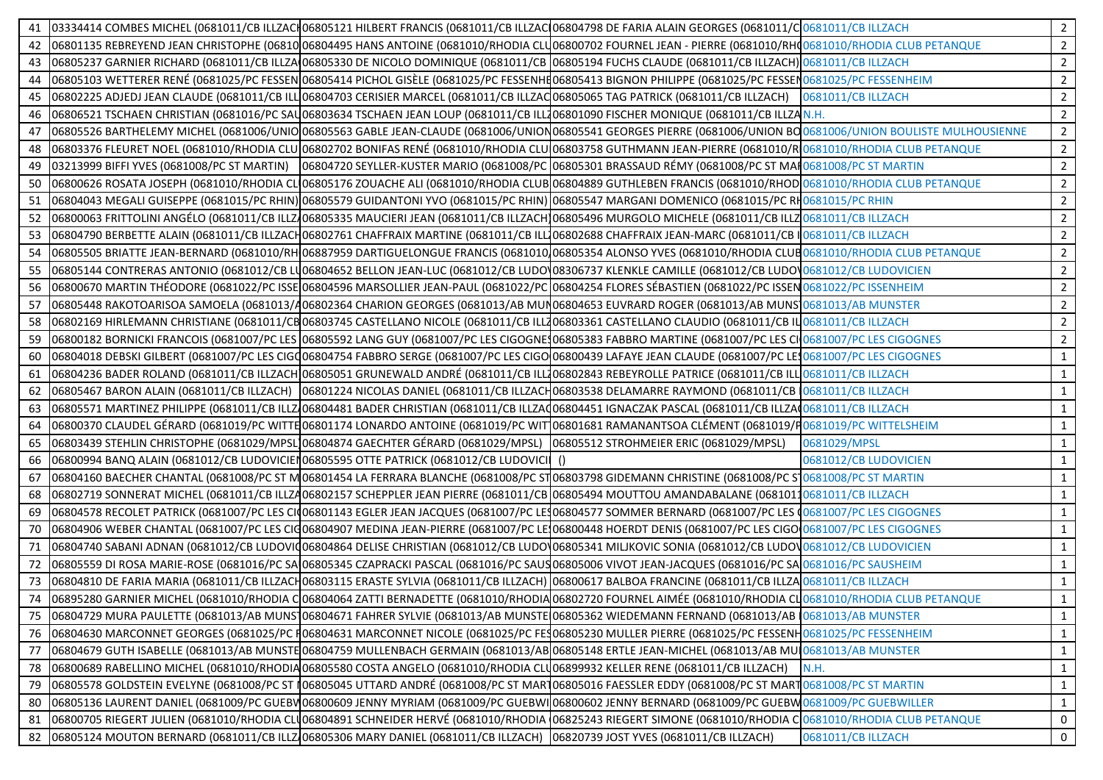| 41 |                                                                                   | 03334414 COMBES MICHEL (0681011/CB ILLZACH06805121 HILBERT FRANCIS (0681011/CB ILLZACH06804798 DE FARIA ALAIN GEORGES (0681011/CH0681011/CB ILLZACH                                         |                                         |                       | $\overline{2}$ |
|----|-----------------------------------------------------------------------------------|---------------------------------------------------------------------------------------------------------------------------------------------------------------------------------------------|-----------------------------------------|-----------------------|----------------|
|    |                                                                                   | 42 06801135 REBREYEND JEAN CHRISTOPHE (0681006804495 HANS ANTOINE (0681010/RHODIA CLU06800702 FOURNEL JEAN - PIERRE (0681010/RHO0681010/RHODIA CLUB PETANQUE                                |                                         |                       | $2^{\circ}$    |
|    |                                                                                   | 43  06805237 GARNIER RICHARD (0681011/CB ILLZA 06805330 DE NICOLO DOMINIQUE (0681011/CB  06805194 FUCHS CLAUDE (0681011/CB ILLZACH) 0681011/CB ILLZACH                                      |                                         |                       | $\overline{2}$ |
| 44 |                                                                                   | 06805103 WETTERER RENÉ (0681025/PC FESSEN 06805414 PICHOL GISÈLE (0681025/PC FESSENHE06805413 BIGNON PHILIPPE (0681025/PC FESSEN 0681025/PC FESSEN 0681025/PC FESSEN HEIM                   |                                         |                       | $\overline{2}$ |
| 45 |                                                                                   | 06802225 ADJEDJ JEAN CLAUDE (0681011/CB ILLO6804703 CERISIER MARCEL (0681011/CB ILLZAC06805065 TAG PATRICK (0681011/CB ILLZACH) 0681011/CB ILLZACH                                          |                                         |                       | $\overline{2}$ |
| 46 |                                                                                   | 06806521 TSCHAEN CHRISTIAN (0681016/PC SAU06803634 TSCHAEN JEAN LOUP (0681011/CB ILL706801090 FISCHER MONIQUE (0681011/CB ILLZAN.H.                                                         |                                         |                       | $2^{\circ}$    |
| 47 |                                                                                   | 06805526 BARTHELEMY MICHEL (0681006/UNIO 06805563 GABLE JEAN-CLAUDE (0681006/UNION 06805541 GEORGES PIERRE (0681006/UNION BO 0681006/UNION BOULISTE MULHOUSIENNE                            |                                         |                       | $2^{\circ}$    |
|    |                                                                                   | 48 06803376 FLEURET NOEL (0681010/RHODIA CLU 06802702 BONIFAS RENÉ (0681010/RHODIA CLU 06803758 GUTHMANN JEAN-PIERRE (0681010/R 0681010/R HODIA CLUB PETANQUE                               |                                         |                       | $\overline{2}$ |
| 49 |                                                                                   | 0681008/PC ST MARTIN 0681008/PC ST MARTIN) 06804720 SEYLLER-KUSTER MARIO (0681008/PC 06805301 BRASSAUD RÉMY (0681008/PC ST MAR0681008/PC ST MARTIN                                          |                                         |                       | $\overline{2}$ |
| 50 |                                                                                   | 06800626 ROSATA JOSEPH (0681010/RHODIA CLO6805176 ZOUACHE ALI (0681010/RHODIA CLUB 06804889 GUTHLEBEN FRANCIS (0681010/RHOD 0681010/RHODIA CLUB PETANQUE                                    |                                         |                       | $\overline{2}$ |
| 51 |                                                                                   | 06804043 MEGALI GUISEPPE (0681015/PC RHIN) 06805579 GUIDANTONI YVO (0681015/PC RHIN) 06805547 MARGANI DOMENICO (0681015/PC RH <sub>0681015</sub> /PC RHIN                                   |                                         |                       | $2^{\circ}$    |
|    |                                                                                   | 52 06800063 FRITTOLINI ANGÉLO (0681011/CB ILLZ 06805335 MAUCIERI JEAN (0681011/CB ILLZACH 06805496 MURGOLO MICHELE (0681011/CB ILLZ 0681011/CB ILLZ 0681011/CB ILLZ 0681011/CB ILLZ 0681011 |                                         |                       | $2^{\circ}$    |
|    |                                                                                   | 53   06804790 BERBETTE ALAIN (0681011/CB ILLZACH06802761 CHAFFRAIX MARTINE (0681011/CB ILL106802688 CHAFFRAIX JEAN-MARC (0681011/CB I  0681011/CB ILLZACH                                   |                                         |                       | $\overline{2}$ |
|    |                                                                                   | 54 06805505 BRIATTE JEAN-BERNARD (0681010/RH 06887959 DARTIGUELONGUE FRANCIS (0681010)06805354 ALONSO YVES (0681010/RHODIA CLUB 0681010/RHODIA CLUB PETANQUE                                |                                         |                       | $\overline{2}$ |
| 55 |                                                                                   | 06805144 CONTRERAS ANTONIO (0681012/CB LU06804652 BELLON JEAN-LUC (0681012/CB LUDOV08306737 KLENKLE CAMILLE (0681012/CB LUDOV0681012/CB LUDOV0681012/CB LUDOVICIEN                          |                                         |                       | $\overline{2}$ |
| 56 |                                                                                   | 06800670 MARTIN THÉODORE (0681022/PC ISSE 06804596 MARSOLLIER JEAN-PAUL (0681022/PC 06804254 FLORES SÉBASTIEN (0681022/PC ISSEN 0681022/PC ISSEN                                            |                                         |                       | $2^{\circ}$    |
| 57 |                                                                                   | 06805448 RAKOTOARISOA SAMOELA (0681013/A06802364 CHARION GEORGES (0681013/AB MUN06804653 EUVRARD ROGER (0681013/AB MUNS 0681013/AB MUNSTER                                                  |                                         |                       | $2^{\circ}$    |
|    |                                                                                   | 58 06802169 HIRLEMANN CHRISTIANE (0681011/CB06803745 CASTELLANO NICOLE (0681011/CB ILL206803361 CASTELLANO CLAUDIO (0681011/CB IL 0681011/CB ILLZACH                                        |                                         |                       | $\overline{2}$ |
| 59 |                                                                                   | 06800182 BORNICKI FRANCOIS (0681007/PC LES 06805592 LANG GUY (0681007/PC LES CIGOGNE106805383 FABBRO MARTINE (0681007/PC LES CI10681007/PC LES CIGOGNES                                     |                                         |                       | $\overline{2}$ |
| 60 |                                                                                   | 06804018 DEBSKI GILBERT (0681007/PC LES CIGQ06804754 FABBRO SERGE (0681007/PC LES CIGO06800439 LAFAYE JEAN CLAUDE (0681007/PC LES 0681007/PC LES CIGOGNES                                   |                                         |                       | $\mathbf{1}$   |
| 61 |                                                                                   | 06804236 BADER ROLAND (0681011/CB ILLZACH 06805051 GRUNEWALD ANDRÉ (0681011/CB ILL706802843 REBEYROLLE PATRICE (0681011/CB ILL70681011/CB ILL7ACH                                           |                                         |                       | $\mathbf{1}$   |
|    |                                                                                   | 62 06805467 BARON ALAIN (0681011/CB ILLZACH) 06801224 NICOLAS DANIEL (0681011/CB ILLZACH06803538 DELAMARRE RAYMOND (0681011/CB 0681011/CB ILLZACH                                           |                                         |                       | $\mathbf{1}$   |
|    |                                                                                   | 63 06805571 MARTINEZ PHILIPPE (0681011/CB ILLZ 06804481 BADER CHRISTIAN (0681011/CB ILLZA 06804451 IGNACZAK PASCAL (0681011/CB ILLZA 0681011/CB ILLZA 01681011/CB ILLZACH                   |                                         |                       | $\mathbf{1}$   |
| 64 |                                                                                   | 06800370 CLAUDEL GÉRARD (0681019/PC WITTE 06801174 LONARDO ANTOINE (0681019/PC WIT 06801681 RAMANANTSOA CLÉMENT (0681019/P0681019/PC WITTELSHEIM                                            |                                         |                       | $\mathbf{1}$   |
| 65 | 06803439 STEHLIN CHRISTOPHE (0681029/MPSL)06804874 GAECHTER GÉRARD (0681029/MPSL) |                                                                                                                                                                                             | 06805512 STROHMEIER ERIC (0681029/MPSL) | 0681029/MPSL          | $\mathbf{1}$   |
| 66 |                                                                                   | 06800994 BANQ ALAIN (0681012/CB LUDOVICIEN 06805595 OTTE PATRICK (0681012/CB LUDOVICI ()                                                                                                    |                                         | 0681012/CB LUDOVICIEN | $\mathbf{1}$   |
| 67 |                                                                                   | 06804160 BAECHER CHANTAL (0681008/PC ST M 06801454 LA FERRARA BLANCHE (0681008/PC ST 06803798 GIDEMANN CHRISTINE (0681008/PC ST 0681008/PC ST MARTIN                                        |                                         |                       | $\mathbf{1}$   |
|    |                                                                                   | 68   06802719 SONNERAT MICHEL (0681011/CB ILLZA06802157 SCHEPPLER JEAN PIERRE (0681011/CB 06805494 MOUTTOU AMANDABALANE (06810110681011/CB ILLZACH                                          |                                         |                       | $\mathbf{1}$   |
| 69 |                                                                                   | 06804578 RECOLET PATRICK (0681007/PC LES CI006801143 EGLER JEAN JACQUES (0681007/PC LE306804577 SOMMER BERNARD (0681007/PC LES 00681007/PC LES CIGOGNES                                     |                                         |                       | $\mathbf{1}$   |
| 70 |                                                                                   | 06804906 WEBER CHANTAL (0681007/PC LES CIQ06804907 MEDINA JEAN-PIERRE (0681007/PC LE106800448 HOERDT DENIS (0681007/PC LES CIGO10681007/PC LES CIGO60FES                                    |                                         |                       | $\mathbf{1}$   |
| 71 |                                                                                   | 06804740 SABANI ADNAN (0681012/CB LUDOVIQ06804864 DELISE CHRISTIAN (0681012/CB LUDOV06805341 MILJKOVIC SONIA (0681012/CB LUDOV0681012/CB LUDOVICIEN                                         |                                         |                       | $\mathbf{1}$   |
|    |                                                                                   | 72 06805559 DI ROSA MARIE-ROSE (0681016/PC SA 06805345 CZAPRACKI PASCAL (0681016/PC SAUS06805006 VIVOT JEAN-JACQUES (0681016/PC SA 0681016/PC SAUSHEIM                                      |                                         |                       | $\mathbf{1}$   |
|    |                                                                                   | 73   06804810 DE FARIA MARIA (0681011/CB ILLZACH06803115 ERASTE SYLVIA (0681011/CB ILLZACH)   06800617 BALBOA FRANCINE (0681011/CB ILLZA 0681011/CB ILLZACH                                 |                                         |                       | $\mathbf{1}$   |
| 74 |                                                                                   | 06895280 GARNIER MICHEL (0681010/RHODIA CO6804064 ZATTI BERNADETTE (0681010/RHODIAO6802720 FOURNEL AIMÉE (0681010/RHODIA CLO681010/RHODIA CLUB PETANQUE                                     |                                         |                       | 1              |
|    |                                                                                   | 75 06804729 MURA PAULETTE (0681013/AB MUNS 06804671 FAHRER SYLVIE (0681013/AB MUNSTE 06805362 WIEDEMANN FERNAND (0681013/AB 0681013/AB MUNSTER                                              |                                         |                       | $\mathbf{1}$   |
|    |                                                                                   | 76 06804630 MARCONNET GEORGES (0681025/PC 106804631 MARCONNET NICOLE (0681025/PC FES06805230 MULLER PIERRE (0681025/PC FESSENH0681025/PC FESSENHEIM                                         |                                         |                       | 1              |
|    |                                                                                   | 77 06804679 GUTH ISABELLE (0681013/AB MUNSTE 06804759 MULLENBACH GERMAIN (0681013/AB 06805148 ERTLE JEAN-MICHEL (0681013/AB MU 0681013/AB MUNSTER                                           |                                         |                       | $\mathbf{1}$   |
|    |                                                                                   | 78 06800689 RABELLINO MICHEL (0681010/RHODIA 06805580 COSTA ANGELO (0681010/RHODIA CLU06899932 KELLER RENE (0681011/CB ILLZACH)                                                             |                                         | N.H.                  | $\mathbf{1}$   |
| 79 |                                                                                   | 06805578 GOLDSTEIN EVELYNE (0681008/PC ST 106805045 UTTARD ANDRÉ (0681008/PC ST MAR106805016 FAESSLER EDDY (0681008/PC ST MART10681008/PC ST MART10681008/PC ST MARTIN                      |                                         |                       | $\mathbf{1}$   |
| 80 |                                                                                   | 06805136 LAURENT DANIEL (0681009/PC GUEBV 06800609 JENNY MYRIAM (0681009/PC GUEBWI 06800602 JENNY BERNARD (0681009/PC GUEBW 0681009/PC GUEBWILLER                                           |                                         |                       | $\mathbf{1}$   |
| 81 |                                                                                   | 06800705 RIEGERT JULIEN (0681010/RHODIA CLU06804891 SCHNEIDER HERVÉ (0681010/RHODIA (06825243 RIEGERT SIMONE (0681010/RHODIA CO681010/RHODIA CLUB PETANQUE                                  |                                         |                       | 0              |
|    |                                                                                   | 82 06805124 MOUTON BERNARD (0681011/CB ILLZ 06805306 MARY DANIEL (0681011/CB ILLZACH) 06820739 JOST YVES (0681011/CB ILLZACH)                                                               |                                         | 0681011/CB ILLZACH    | $\mathbf 0$    |
|    |                                                                                   |                                                                                                                                                                                             |                                         |                       |                |